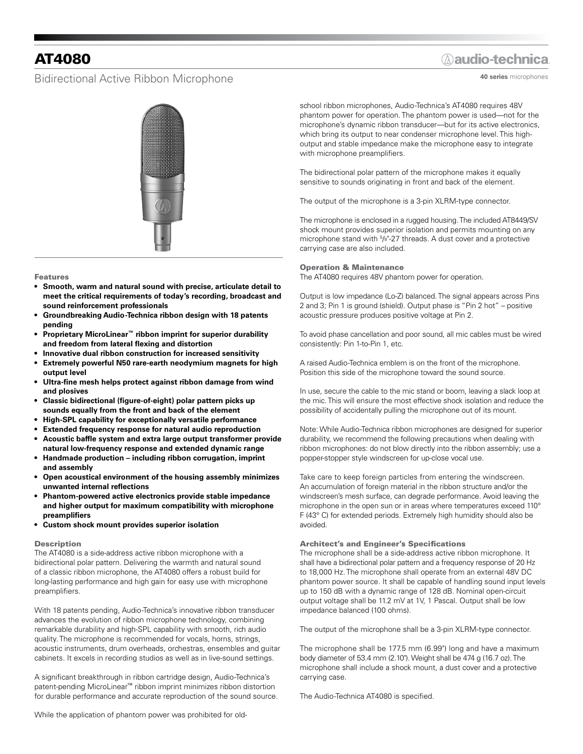# AT4080

### Bidirectional Active Ribbon Microphone

# **Aaudio-technica**

**40 series** microphones



#### Features

- **• Smooth, warm and natural sound with precise, articulate detail to meet the critical requirements of today's recording, broadcast and sound reinforcement professionals**
- **• Groundbreaking Audio-Technica ribbon design with 18 patents pending**
- **• Proprietary MicroLinear™ ribbon imprint for superior durability and freedom from lateral flexing and distortion**
- **• Innovative dual ribbon construction for increased sensitivity**
- **• Extremely powerful N50 rare-earth neodymium magnets for high output level**
- **• Ultra-fine mesh helps protect against ribbon damage from wind and plosives**
- **• Classic bidirectional (figure-of-eight) polar pattern picks up sounds equally from the front and back of the element**
- **• High-SPL capability for exceptionally versatile performance**
- **• Extended frequency response for natural audio reproduction**
- **• Acoustic baffle system and extra large output transformer provide natural low-frequency response and extended dynamic range**
- **• Handmade production – including ribbon corrugation, imprint and assembly**
- **• Open acoustical environment of the housing assembly minimizes unwanted internal reflections**
- **• Phantom-powered active electronics provide stable impedance and higher output for maximum compatibility with microphone preamplifiers**
- **• Custom shock mount provides superior isolation**

### Description

The AT4080 is a side-address active ribbon microphone with a bidirectional polar pattern. Delivering the warmth and natural sound of a classic ribbon microphone, the AT4080 offers a robust build for long-lasting performance and high gain for easy use with microphone preamplifiers.

With 18 patents pending, Audio-Technica's innovative ribbon transducer advances the evolution of ribbon microphone technology, combining remarkable durability and high-SPL capability with smooth, rich audio quality. The microphone is recommended for vocals, horns, strings, acoustic instruments, drum overheads, orchestras, ensembles and guitar cabinets. It excels in recording studios as well as in live-sound settings.

A significant breakthrough in ribbon cartridge design, Audio-Technica's patent-pending MicroLinear™ ribbon imprint minimizes ribbon distortion for durable performance and accurate reproduction of the sound source. school ribbon microphones, Audio-Technica's AT4080 requires 48V phantom power for operation. The phantom power is used—not for the microphone's dynamic ribbon transducer—but for its active electronics, which bring its output to near condenser microphone level. This highoutput and stable impedance make the microphone easy to integrate with microphone preamplifiers.

The bidirectional polar pattern of the microphone makes it equally sensitive to sounds originating in front and back of the element.

The output of the microphone is a 3-pin XLRM-type connector.

The microphone is enclosed in a rugged housing. The included AT8449/SV shock mount provides superior isolation and permits mounting on any microphone stand with 5 /8"-27 threads. A dust cover and a protective carrying case are also included.

### Operation & Maintenance

The AT4080 requires 48V phantom power for operation.

Output is low impedance (Lo-Z) balanced. The signal appears across Pins 2 and 3; Pin 1 is ground (shield). Output phase is "Pin 2 hot" – positive acoustic pressure produces positive voltage at Pin 2.

To avoid phase cancellation and poor sound, all mic cables must be wired consistently: Pin 1-to-Pin 1, etc.

A raised Audio-Technica emblem is on the front of the microphone. Position this side of the microphone toward the sound source.

In use, secure the cable to the mic stand or boom, leaving a slack loop at the mic. This will ensure the most effective shock isolation and reduce the possibility of accidentally pulling the microphone out of its mount.

Note: While Audio-Technica ribbon microphones are designed for superior durability, we recommend the following precautions when dealing with ribbon microphones: do not blow directly into the ribbon assembly; use a popper-stopper style windscreen for up-close vocal use.

Take care to keep foreign particles from entering the windscreen. An accumulation of foreign material in the ribbon structure and/or the windscreen's mesh surface, can degrade performance. Avoid leaving the microphone in the open sun or in areas where temperatures exceed 110° F (43° C) for extended periods. Extremely high humidity should also be avoided.

#### Architect's and Engineer's Specifications

The microphone shall be a side-address active ribbon microphone. It shall have a bidirectional polar pattern and a frequency response of 20 Hz to 18,000 Hz. The microphone shall operate from an external 48V DC phantom power source. It shall be capable of handling sound input levels up to 150 dB with a dynamic range of 128 dB. Nominal open-circuit output voltage shall be 11.2 mV at 1V, 1 Pascal. Output shall be low impedance balanced (100 ohms).

The output of the microphone shall be a 3-pin XLRM-type connector.

The microphone shall be 177.5 mm (6.99") long and have a maximum body diameter of 53.4 mm (2.10"). Weight shall be 474 g (16.7 oz). The microphone shall include a shock mount, a dust cover and a protective carrying case.

The Audio-Technica AT4080 is specified.

While the application of phantom power was prohibited for old-